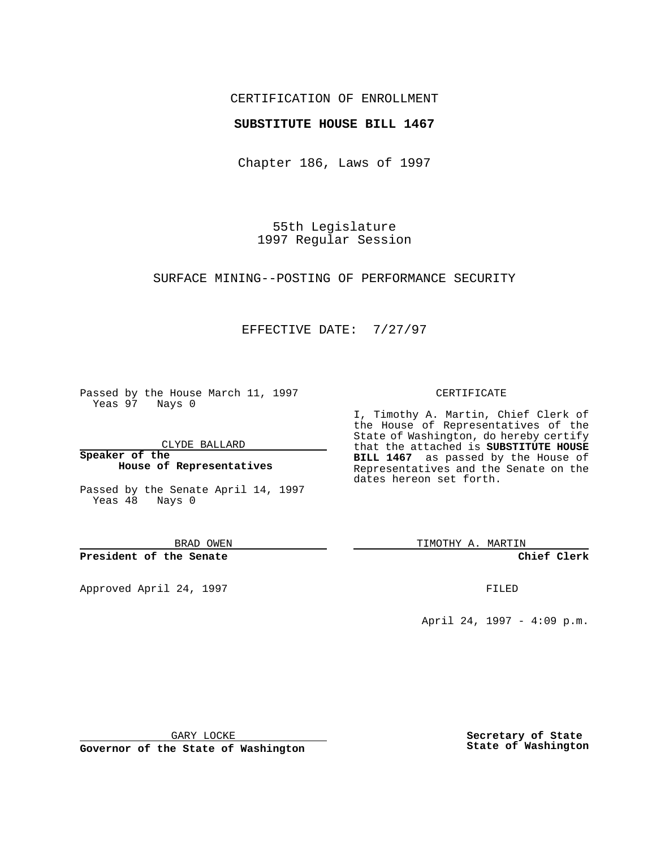### CERTIFICATION OF ENROLLMENT

### **SUBSTITUTE HOUSE BILL 1467**

Chapter 186, Laws of 1997

55th Legislature 1997 Regular Session

#### SURFACE MINING--POSTING OF PERFORMANCE SECURITY

## EFFECTIVE DATE: 7/27/97

Passed by the House March 11, 1997 Yeas 97 Nays 0

CLYDE BALLARD

**Speaker of the House of Representatives**

Passed by the Senate April 14, 1997 Yeas 48 Nays 0

BRAD OWEN

**President of the Senate**

Approved April 24, 1997 **FILED** 

#### CERTIFICATE

I, Timothy A. Martin, Chief Clerk of the House of Representatives of the State of Washington, do hereby certify that the attached is **SUBSTITUTE HOUSE BILL 1467** as passed by the House of Representatives and the Senate on the dates hereon set forth.

TIMOTHY A. MARTIN

**Chief Clerk**

April 24, 1997 - 4:09 p.m.

GARY LOCKE

**Governor of the State of Washington**

**Secretary of State State of Washington**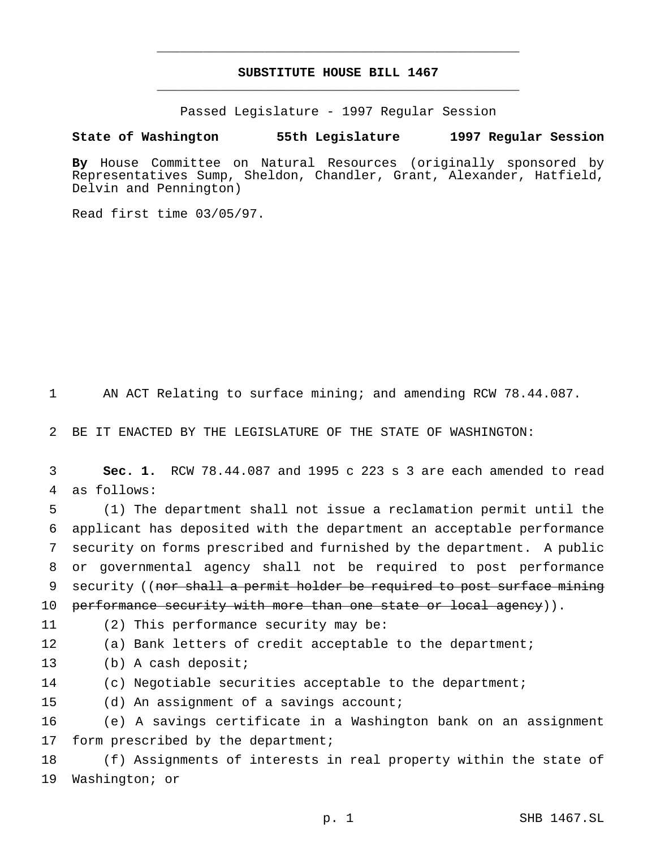# **SUBSTITUTE HOUSE BILL 1467** \_\_\_\_\_\_\_\_\_\_\_\_\_\_\_\_\_\_\_\_\_\_\_\_\_\_\_\_\_\_\_\_\_\_\_\_\_\_\_\_\_\_\_\_\_\_\_

\_\_\_\_\_\_\_\_\_\_\_\_\_\_\_\_\_\_\_\_\_\_\_\_\_\_\_\_\_\_\_\_\_\_\_\_\_\_\_\_\_\_\_\_\_\_\_

Passed Legislature - 1997 Regular Session

#### **State of Washington 55th Legislature 1997 Regular Session**

**By** House Committee on Natural Resources (originally sponsored by Representatives Sump, Sheldon, Chandler, Grant, Alexander, Hatfield, Delvin and Pennington)

Read first time 03/05/97.

1 AN ACT Relating to surface mining; and amending RCW 78.44.087.

2 BE IT ENACTED BY THE LEGISLATURE OF THE STATE OF WASHINGTON:

3 **Sec. 1.** RCW 78.44.087 and 1995 c 223 s 3 are each amended to read 4 as follows:

 (1) The department shall not issue a reclamation permit until the applicant has deposited with the department an acceptable performance security on forms prescribed and furnished by the department. A public or governmental agency shall not be required to post performance 9 security ((nor shall a permit holder be required to post surface mining 10 performance security with more than one state or local agency)).

11 (2) This performance security may be:

12 (a) Bank letters of credit acceptable to the department;

13 (b) A cash deposit;

14 (c) Negotiable securities acceptable to the department;

15 (d) An assignment of a savings account;

16 (e) A savings certificate in a Washington bank on an assignment 17 form prescribed by the department;

18 (f) Assignments of interests in real property within the state of 19 Washington; or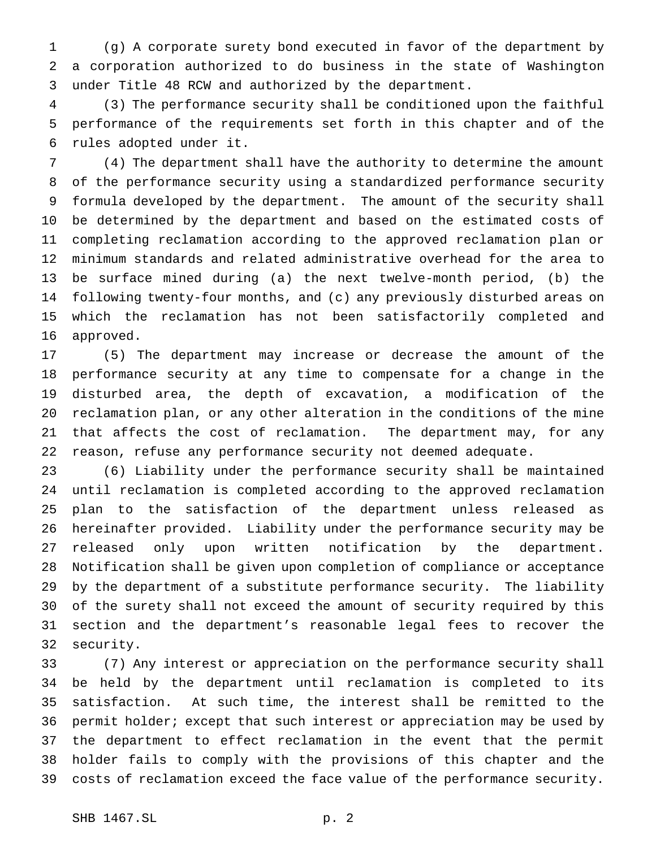(g) A corporate surety bond executed in favor of the department by a corporation authorized to do business in the state of Washington under Title 48 RCW and authorized by the department.

 (3) The performance security shall be conditioned upon the faithful performance of the requirements set forth in this chapter and of the rules adopted under it.

 (4) The department shall have the authority to determine the amount of the performance security using a standardized performance security formula developed by the department. The amount of the security shall be determined by the department and based on the estimated costs of completing reclamation according to the approved reclamation plan or minimum standards and related administrative overhead for the area to be surface mined during (a) the next twelve-month period, (b) the following twenty-four months, and (c) any previously disturbed areas on which the reclamation has not been satisfactorily completed and approved.

 (5) The department may increase or decrease the amount of the performance security at any time to compensate for a change in the disturbed area, the depth of excavation, a modification of the reclamation plan, or any other alteration in the conditions of the mine that affects the cost of reclamation. The department may, for any reason, refuse any performance security not deemed adequate.

 (6) Liability under the performance security shall be maintained until reclamation is completed according to the approved reclamation plan to the satisfaction of the department unless released as hereinafter provided. Liability under the performance security may be released only upon written notification by the department. Notification shall be given upon completion of compliance or acceptance by the department of a substitute performance security. The liability of the surety shall not exceed the amount of security required by this section and the department's reasonable legal fees to recover the security.

 (7) Any interest or appreciation on the performance security shall be held by the department until reclamation is completed to its satisfaction. At such time, the interest shall be remitted to the permit holder; except that such interest or appreciation may be used by the department to effect reclamation in the event that the permit holder fails to comply with the provisions of this chapter and the costs of reclamation exceed the face value of the performance security.